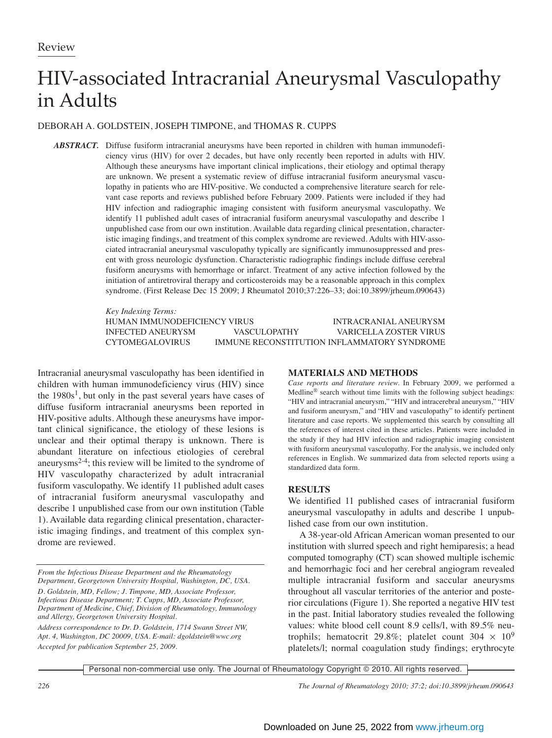# HIV-associated Intracranial Aneurysmal Vasculopathy in Adults

## DEBORAH A. GOLDSTEIN, JOSEPH TIMPONE, and THOMAS R. CUPPS

*ABSTRACT.* Diffuse fusiform intracranial aneurysms have been reported in children with human immunodeficiency virus (HIV) for over 2 decades, but have only recently been reported in adults with HIV. Although these aneurysms have important clinical implications, their etiology and optimal therapy are unknown. We present a systematic review of diffuse intracranial fusiform aneurysmal vasculopathy in patients who are HIV-positive. We conducted a comprehensive literature search for relevant case reports and reviews published before February 2009. Patients were included if they had HIV infection and radiographic imaging consistent with fusiform aneurysmal vasculopathy. We identify 11 published adult cases of intracranial fusiform aneurysmal vasculopathy and describe 1 unpublished case from our own institution. Available data regarding clinical presentation, characteristic imaging findings, and treatment of this complex syndrome are reviewed. Adults with HIV-associated intracranial aneurysmal vasculopathy typically are significantly immunosuppressed and present with gross neurologic dysfunction. Characteristic radiographic findings include diffuse cerebral fusiform aneurysms with hemorrhage or infarct. Treatment of any active infection followed by the initiation of antiretroviral therapy and corticosteroids may be a reasonable approach in this complex syndrome. (First Release Dec 15 2009; J Rheumatol 2010;37:226–33; doi:10.3899/jrheum.090643)

> *Key Indexing Terms:* HUMAN IMMUNODEFICIENCY VIRUS INTRACRANIAL ANEURYSM INFECTED ANEURYSM VASCULOPATHY VARICELLA ZOSTER VIRUS CYTOMEGALOVIRUS IMMUNE RECONSTITUTION INFLAMMATORY SYNDROME

Intracranial aneurysmal vasculopathy has been identified in children with human immunodeficiency virus (HIV) since the  $1980s<sup>1</sup>$ , but only in the past several years have cases of diffuse fusiform intracranial aneurysms been reported in HIV-positive adults. Although these aneurysms have important clinical significance, the etiology of these lesions is unclear and their optimal therapy is unknown. There is abundant literature on infectious etiologies of cerebral aneurysms2-4; this review will be limited to the syndrome of HIV vasculopathy characterized by adult intracranial fusiform vasculopathy. We identify 11 published adult cases of intracranial fusiform aneurysmal vasculopathy and describe 1 unpublished case from our own institution (Table 1). Available data regarding clinical presentation, characteristic imaging findings, and treatment of this complex syndrome are reviewed.

#### **MATERIALS AND METHODS**

*Case reports and literature review.* In February 2009, we performed a Medline® search without time limits with the following subject headings: "HIV and intracranial aneurysm," "HIV and intracerebral aneurysm," "HIV and fusiform aneurysm," and "HIV and vasculopathy" to identify pertinent literature and case reports. We supplemented this search by consulting all the references of interest cited in these articles. Patients were included in the study if they had HIV infection and radiographic imaging consistent with fusiform aneurysmal vasculopathy. For the analysis, we included only references in English. We summarized data from selected reports using a standardized data form.

### **RESULTS**

We identified 11 published cases of intracranial fusiform aneurysmal vasculopathy in adults and describe 1 unpublished case from our own institution.

A 38-year-old African American woman presented to our institution with slurred speech and right hemiparesis; a head computed tomography (CT) scan showed multiple ischemic and hemorrhagic foci and her cerebral angiogram revealed multiple intracranial fusiform and saccular aneurysms throughout all vascular territories of the anterior and posterior circulations (Figure 1). She reported a negative HIV test in the past. Initial laboratory studies revealed the following values: white blood cell count 8.9 cells/l, with 89.5% neutrophils; hematocrit 29.8%; platelet count  $304 \times 10^9$ platelets/l; normal coagulation study findings; erythrocyte

Personal non-commercial use only. The Journal of Rheumatology Copyright © 2010. All rights reserved.

*226 The Journal of Rheumatology 2010; 37:2; doi:10.3899/jrheum.090643*

*From the Infectious Disease Department and the Rheumatology Department, Georgetown University Hospital, Washington, DC, USA. D. Goldstein, MD, Fellow; J. Timpone, MD, Associate Professor, Infectious Disease Department; T. Cupps, MD, Associate Professor, Department of Medicine, Chief, Division of Rheumatology, Immunology and Allergy, Georgetown University Hospital.*

*Address correspondence to Dr. D. Goldstein, 1714 Swann Street NW, Apt. 4, Washington, DC 20009, USA. E-mail: dgoldstein@wwc.org Accepted for publication September 25, 2009.*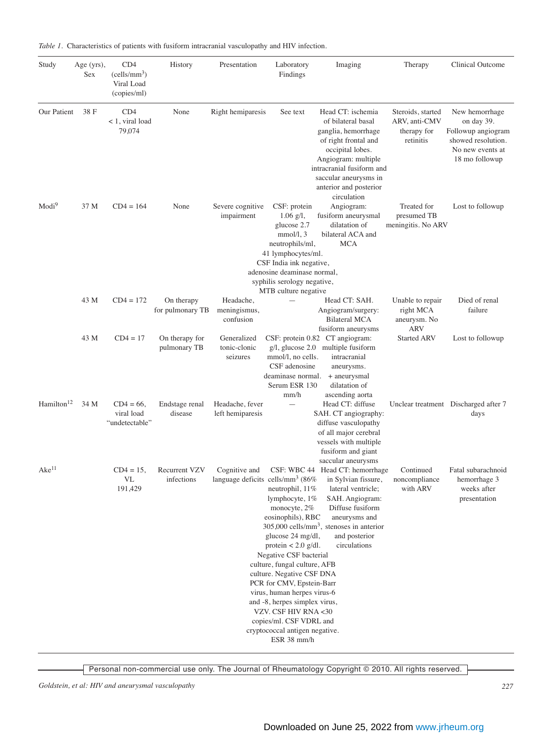| Study                  | Age $(yrs)$ ,<br><b>Sex</b> | CD4<br>(cells/mm <sup>3</sup> )<br>Viral Load<br>(copies/ml) | History                            | Presentation                                                  | Laboratory<br>Findings                                                                                                                                                                                                                                                                                                                                                                                          | Imaging                                                                                                                                                                                                                          | Therapy                                                        | Clinical Outcome                                                                                               |
|------------------------|-----------------------------|--------------------------------------------------------------|------------------------------------|---------------------------------------------------------------|-----------------------------------------------------------------------------------------------------------------------------------------------------------------------------------------------------------------------------------------------------------------------------------------------------------------------------------------------------------------------------------------------------------------|----------------------------------------------------------------------------------------------------------------------------------------------------------------------------------------------------------------------------------|----------------------------------------------------------------|----------------------------------------------------------------------------------------------------------------|
| Our Patient            | 38 F                        | CD4<br>< 1, viral load<br>79,074                             | None                               | Right hemiparesis                                             | See text                                                                                                                                                                                                                                                                                                                                                                                                        | Head CT: ischemia<br>of bilateral basal<br>ganglia, hemorrhage<br>of right frontal and<br>occipital lobes.<br>Angiogram: multiple<br>intracranial fusiform and<br>saccular aneurysms in<br>anterior and posterior<br>circulation | Steroids, started<br>ARV, anti-CMV<br>therapy for<br>retinitis | New hemorrhage<br>on day 39.<br>Followup angiogram<br>showed resolution.<br>No new events at<br>18 mo followup |
| Modi <sup>9</sup>      | 37 M                        | $CD4 = 164$                                                  | None                               | Severe cognitive<br>impairment                                | CSF: protein<br>$1.06$ g/l,<br>glucose 2.7<br>mmol/l, 3<br>neutrophils/ml,<br>41 lymphocytes/ml.<br>CSF India ink negative,<br>adenosine deaminase normal,<br>syphilis serology negative,                                                                                                                                                                                                                       | Angiogram:<br>fusiform aneurysmal<br>dilatation of<br>bilateral ACA and<br><b>MCA</b>                                                                                                                                            | Treated for<br>presumed TB<br>meningitis. No ARV               | Lost to followup                                                                                               |
|                        | 43 M                        | $CD4 = 172$                                                  | On therapy                         | Headache,                                                     | MTB culture negative                                                                                                                                                                                                                                                                                                                                                                                            | Head CT: SAH.                                                                                                                                                                                                                    | Unable to repair                                               | Died of renal                                                                                                  |
|                        |                             |                                                              | for pulmonary TB                   | meningismus,<br>confusion                                     |                                                                                                                                                                                                                                                                                                                                                                                                                 | Angiogram/surgery:<br><b>Bilateral MCA</b><br>fusiform aneurysms                                                                                                                                                                 | right MCA<br>aneurysm. No<br><b>ARV</b>                        | failure                                                                                                        |
|                        | 43 M                        | $CD4 = 17$                                                   | On therapy for<br>pulmonary TB     | Generalized<br>tonic-clonic<br>seizures                       | mmol/l, no cells.<br>CSF adenosine<br>deaminase normal.<br>Serum ESR 130<br>mm/h                                                                                                                                                                                                                                                                                                                                | CSF: protein 0.82 CT angiogram:<br>$g/l$ , glucose 2.0 multiple fusiform<br>intracranial<br>aneurysms.<br>+ aneurysmal<br>dilatation of<br>ascending aorta                                                                       | <b>Started ARV</b>                                             | Lost to followup                                                                                               |
| Hamilton <sup>12</sup> | 34 M                        | $CD4 = 66$ ,<br>viral load<br>"undetectable"                 | Endstage renal<br>disease          | Headache, fever<br>left hemiparesis                           |                                                                                                                                                                                                                                                                                                                                                                                                                 | Head CT: diffuse<br>SAH. CT angiography:<br>diffuse vasculopathy<br>of all major cerebral<br>vessels with multiple<br>fusiform and giant<br>saccular aneurysms                                                                   |                                                                | Unclear treatment Discharged after 7<br>days                                                                   |
| Ake <sup>11</sup>      |                             | $CD4 = 15$ ,<br>VL<br>191,429                                | <b>Recurrent VZV</b><br>infections | Cognitive and<br>language deficits cells/mm <sup>3</sup> (86% | neutrophil, 11%<br>lymphocyte, 1%<br>monocyte, $2\%$<br>eosinophils), RBC<br>glucose 24 mg/dl,<br>protein $< 2.0$ g/dl.<br>Negative CSF bacterial<br>culture, fungal culture, AFB<br>culture. Negative CSF DNA<br>PCR for CMV, Epstein-Barr<br>virus, human herpes virus-6<br>and -8, herpes simplex virus,<br>VZV. CSF HIV RNA <30<br>copies/ml. CSF VDRL and<br>cryptococcal antigen negative.<br>ESR 38 mm/h | CSF: WBC 44 Head CT: hemorrhage<br>in Sylvian fissure,<br>lateral ventricle;<br>SAH. Angiogram:<br>Diffuse fusiform<br>aneurysms and<br>$305,000$ cells/mm <sup>3</sup> , stenoses in anterior<br>and posterior<br>circulations  | Continued<br>noncompliance<br>with ARV                         | Fatal subarachnoid<br>hemorrhage 3<br>weeks after<br>presentation                                              |

*Table 1.* Characteristics of patients with fusiform intracranial vasculopathy and HIV infection.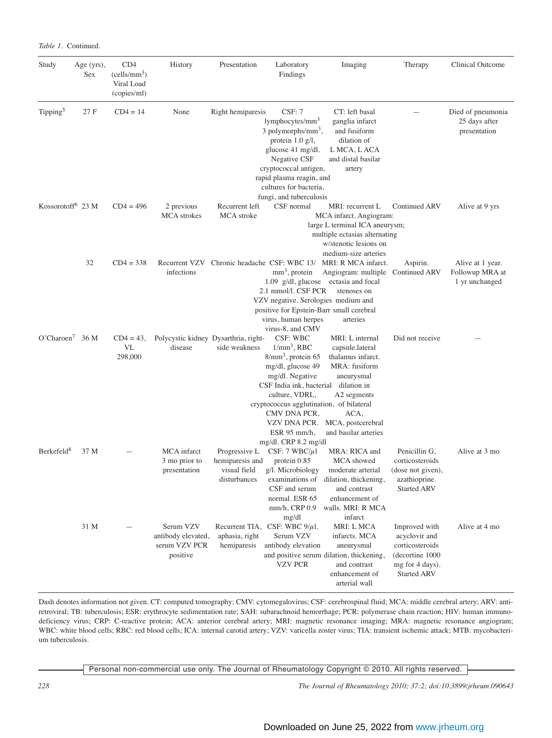| Study                         | Age (yrs),<br>Sex | CD4<br>(cells/mm <sup>3</sup> )<br>Viral Load<br>(copies/ml) | History                                                      | Presentation                                                     | Laboratory<br>Findings                                                                                                                                                                                                                                                             | Imaging                                                                                                                                                        | Therapy                                                                                                       | Clinical Outcome                                      |
|-------------------------------|-------------------|--------------------------------------------------------------|--------------------------------------------------------------|------------------------------------------------------------------|------------------------------------------------------------------------------------------------------------------------------------------------------------------------------------------------------------------------------------------------------------------------------------|----------------------------------------------------------------------------------------------------------------------------------------------------------------|---------------------------------------------------------------------------------------------------------------|-------------------------------------------------------|
| Tipping <sup>5</sup>          | 27 F              | $CD4 = 14$                                                   | None                                                         | Right hemiparesis                                                | CSF: 7<br>lymphocytes/mm <sup>3</sup><br>3 polymorphs/mm <sup>3</sup> ,<br>protein $1.0 \text{ g/l}$ ,<br>glucose 41 mg/dl.<br>Negative CSF<br>cryptococcal antigen,<br>rapid plasma reagin, and<br>cultures for bacteria,<br>fungi, and tuberculosis                              | CT: left basal<br>ganglia infarct<br>and fusiform<br>dilation of<br>L MCA, L ACA<br>and distal basilar<br>artery                                               |                                                                                                               | Died of pneumonia<br>25 days after<br>presentation    |
| Kossorotoff <sup>6</sup> 23 M |                   | $CD4 = 496$                                                  | 2 previous<br><b>MCA</b> strokes                             | Recurrent left<br>MCA stroke                                     | Alive at 9 yrs                                                                                                                                                                                                                                                                     |                                                                                                                                                                |                                                                                                               |                                                       |
|                               | 32                | $CD4 = 338$                                                  | Recurrent VZV<br>infections                                  | Chronic headache CSF: WBC 13/                                    | $mm3$ , protein<br>2.1 mmol/l. CSF PCR<br>VZV negative. Serologies medium and<br>positive for Epstein-Barr small cerebral<br>virus, human herpes<br>virus-8, and CMV                                                                                                               | medium-size arteries<br>MRI: R MCA infarct.<br>Angiogram: multiple Continued ARV<br>$1.09 \text{ g/dl}$ , glucose ectasia and focal<br>stenoses on<br>arteries | Aspirin.                                                                                                      | Alive at 1 year.<br>Followup MRA at<br>1 yr unchanged |
| O'Charoen <sup>7</sup>        | 36 M              | $CD4 = 43,$<br><b>VL</b><br>298,000                          | disease                                                      | Polycystic kidney Dysarthria, right-<br>side weakness            | CSF: WBC<br>$1/mm^3$ , RBC<br>$8/\text{mm}^3$ , protein 65<br>mg/dl, glucose 49<br>mg/dl. Negative<br>CSF India ink, bacterial dilation in<br>culture, VDRL,<br>cryptococcus agglutination, of bilateral<br>CMV DNA PCR,<br>VZV DNA PCR.<br>ESR $95$ mm/h,<br>mg/dl. CRP 8.2 mg/dl | MRI: L internal<br>capsule.lateral<br>thalamus infarct.<br>MRA: fusiform<br>aneurysmal<br>A2 segments<br>ACA,<br>MCA, postcerebral<br>and basilar arteries     | Did not receive                                                                                               |                                                       |
| Berkefeld <sup>8</sup>        | 37 M              |                                                              | MCA infarct<br>3 mo prior to<br>presentation                 | Progressive L<br>hemiparesis and<br>visual field<br>disturbances | CSF: $7 WBC/\mu 1$<br>protein 0.85<br>g/l. Microbiology<br>examinations of<br>CSF and serum<br>normal. ESR 65<br>mm/h, CRP 0.9<br>mg/dl                                                                                                                                            | MRA: RICA and<br>MCA showed<br>moderate arterial<br>dilation, thickening,<br>and contrast<br>enhancement of<br>walls. MRI: R MCA<br>infarct                    | Penicillin G,<br>corticosteroids<br>(dose not given),<br>azathioprine.<br><b>Started ARV</b>                  | Alive at 3 mo                                         |
|                               | 31 M              |                                                              | Serum VZV<br>antibody elevated,<br>serum VZV PCR<br>positive | aphasia, right<br>hemiparesis                                    | Recurrent TIA, CSF: WBC $9/\mu$ 1.<br>Serum VZV<br>antibody elevation<br>VZV PCR                                                                                                                                                                                                   | MRI: L MCA<br>infarcts. MCA<br>aneurysmal<br>and positive serum dilation, thickening,<br>and contrast<br>enhancement of<br>arterial wall                       | Improved with<br>acyclovir and<br>corticosteroids<br>(decortine 1000<br>mg for 4 days).<br><b>Started ARV</b> | Alive at 4 mo                                         |

Dash denotes information not given. CT: computed tomography; CMV: cytomegalovirus; CSF: cerebrospinal fluid; MCA: middle cerebral artery; ARV: antiretroviral; TB: tuberculosis; ESR: erythrocyte sedimentation rate; SAH: subarachnoid hemorrhage; PCR: polymerase chain reaction; HIV: human immunodeficiency virus; CRP: C-reactive protein; ACA: anterior cerebral artery; MRI: magnetic resonance imaging; MRA: magnetic resonance angiogram; WBC: white blood cells; RBC: red blood cells; ICA: internal carotid artery; VZV: varicella zoster virus; TIA: transient ischemic attack; MTB: mycobacterium tuberculosis.

Personal non-commercial use only. The Journal of Rheumatology Copyright © 2010. All rights reserved.

*228 The Journal of Rheumatology 2010; 37:2; doi:10.3899/jrheum.090643*

*Table 1.* Continued.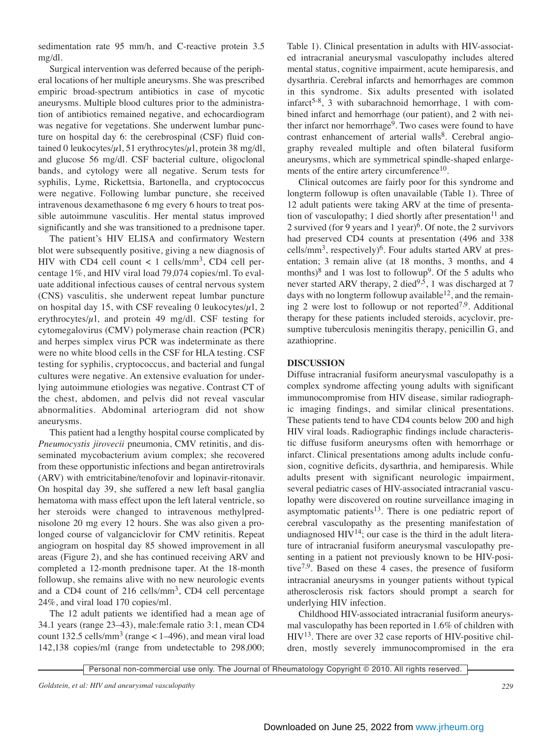sedimentation rate 95 mm/h, and C-reactive protein 3.5 mg/dl.

Surgical intervention was deferred because of the peripheral locations of her multiple aneurysms. She was prescribed empiric broad-spectrum antibiotics in case of mycotic aneurysms. Multiple blood cultures prior to the administration of antibiotics remained negative, and echocardiogram was negative for vegetations. She underwent lumbar puncture on hospital day 6: the cerebrospinal (CSF) fluid contained 0 leukocytes/ $\mu$ 1, 51 erythrocytes/ $\mu$ 1, protein 38 mg/dl, and glucose 56 mg/dl. CSF bacterial culture, oligoclonal bands, and cytology were all negative. Serum tests for syphilis, Lyme, Rickettsia, Bartonella, and cryptococcus were negative. Following lumbar puncture, she received intravenous dexamethasone 6 mg every 6 hours to treat possible autoimmune vasculitis. Her mental status improved significantly and she was transitioned to a prednisone taper.

The patient's HIV ELISA and confirmatory Western blot were subsequently positive, giving a new diagnosis of HIV with CD4 cell count  $< 1$  cells/mm<sup>3</sup>, CD4 cell percentage 1%, and HIV viral load 79,074 copies/ml. To evaluate additional infectious causes of central nervous system (CNS) vasculitis, she underwent repeat lumbar puncture on hospital day 15, with CSF revealing 0 leukocytes/ $\mu$ 1, 2 erythrocytes/ $\mu$ l, and protein 49 mg/dl. CSF testing for cytomegalovirus (CMV) polymerase chain reaction (PCR) and herpes simplex virus PCR was indeterminate as there were no white blood cells in the CSF for HLA testing. CSF testing for syphilis, cryptococcus, and bacterial and fungal cultures were negative. An extensive evaluation for underlying autoimmune etiologies was negative. Contrast CT of the chest, abdomen, and pelvis did not reveal vascular abnormalities. Abdominal arteriogram did not show aneurysms.

This patient had a lengthy hospital course complicated by *Pneumocystis jirovecii* pneumonia, CMV retinitis, and disseminated mycobacterium avium complex; she recovered from these opportunistic infections and began antiretrovirals (ARV) with emtricitabine/tenofovir and lopinavir-ritonavir. On hospital day 39, she suffered a new left basal ganglia hematoma with mass effect upon the left lateral ventricle, so her steroids were changed to intravenous methylprednisolone 20 mg every 12 hours. She was also given a prolonged course of valganciclovir for CMV retinitis. Repeat angiogram on hospital day 85 showed improvement in all areas (Figure 2), and she has continued receiving ARV and completed a 12-month prednisone taper. At the 18-month followup, she remains alive with no new neurologic events and a CD4 count of 216 cells/mm<sup>3</sup>, CD4 cell percentage 24%, and viral load 170 copies/ml.

The 12 adult patients we identified had a mean age of 34.1 years (range 23–43), male:female ratio 3:1, mean CD4 count 132.5 cells/mm<sup>3</sup> (range  $\lt$  1–496), and mean viral load 142,138 copies/ml (range from undetectable to 298,000;

Table 1). Clinical presentation in adults with HIV-associated intracranial aneurysmal vasculopathy includes altered mental status, cognitive impairment, acute hemiparesis, and dysarthria. Cerebral infarcts and hemorrhages are common in this syndrome. Six adults presented with isolated infarct<sup>5-8</sup>, 3 with subarachnoid hemorrhage, 1 with combined infarct and hemorrhage (our patient), and 2 with neither infarct nor hemorrhage<sup>9</sup>. Two cases were found to have contrast enhancement of arterial walls<sup>8</sup>. Cerebral angiography revealed multiple and often bilateral fusiform aneurysms, which are symmetrical spindle-shaped enlargements of the entire artery circumference<sup>10</sup>.

Clinical outcomes are fairly poor for this syndrome and longterm followup is often unavailable (Table 1). Three of 12 adult patients were taking ARV at the time of presentation of vasculopathy; 1 died shortly after presentation<sup>11</sup> and 2 survived (for 9 years and 1 year)6. Of note, the 2 survivors had preserved CD4 counts at presentation (496 and 338  $cells/mm^3$ , respectively)<sup>6</sup>. Four adults started ARV at presentation; 3 remain alive (at 18 months, 3 months, and 4 months)<sup>8</sup> and 1 was lost to followup<sup>9</sup>. Of the 5 adults who never started ARV therapy, 2 died<sup>9,5</sup>, 1 was discharged at 7 days with no longterm followup available<sup>12</sup>, and the remaining 2 were lost to followup or not reported<sup>7,9</sup>. Additional therapy for these patients included steroids, acyclovir, presumptive tuberculosis meningitis therapy, penicillin G, and azathioprine.

### **DISCUSSION**

Diffuse intracranial fusiform aneurysmal vasculopathy is a complex syndrome affecting young adults with significant immunocompromise from HIV disease, similar radiographic imaging findings, and similar clinical presentations. These patients tend to have CD4 counts below 200 and high HIV viral loads. Radiographic findings include characteristic diffuse fusiform aneurysms often with hemorrhage or infarct. Clinical presentations among adults include confusion, cognitive deficits, dysarthria, and hemiparesis. While adults present with significant neurologic impairment, several pediatric cases of HIV-associated intracranial vasculopathy were discovered on routine surveillance imaging in asymptomatic patients<sup>13</sup>. There is one pediatric report of cerebral vasculopathy as the presenting manifestation of undiagnosed  $HIV<sup>14</sup>$ ; our case is the third in the adult literature of intracranial fusiform aneurysmal vasculopathy presenting in a patient not previously known to be HIV-positive<sup>7,9</sup>. Based on these 4 cases, the presence of fusiform intracranial aneurysms in younger patients without typical atherosclerosis risk factors should prompt a search for underlying HIV infection.

Childhood HIV-associated intracranial fusiform aneurysmal vasculopathy has been reported in 1.6% of children with  $HIV<sup>13</sup>$ . There are over 32 case reports of HIV-positive children, mostly severely immunocompromised in the era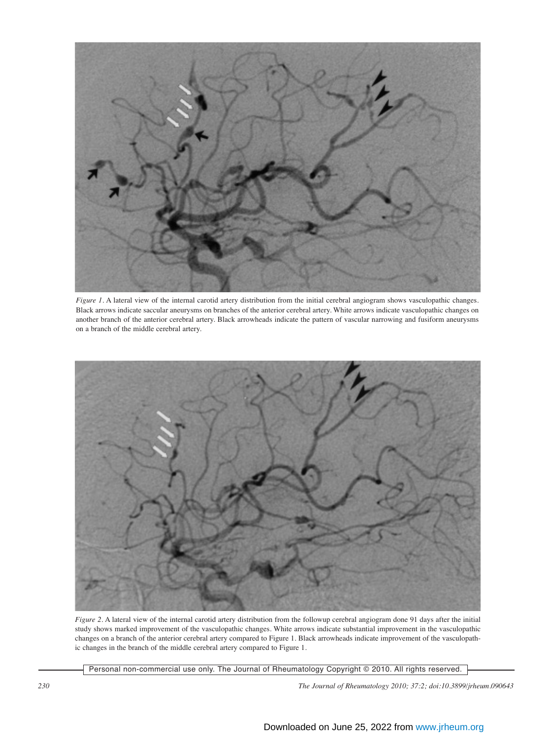

*Figure 1.* A lateral view of the internal carotid artery distribution from the initial cerebral angiogram shows vasculopathic changes. Black arrows indicate saccular aneurysms on branches of the anterior cerebral artery. White arrows indicate vasculopathic changes on another branch of the anterior cerebral artery. Black arrowheads indicate the pattern of vascular narrowing and fusiform aneurysms on a branch of the middle cerebral artery.



*Figure 2.* A lateral view of the internal carotid artery distribution from the followup cerebral angiogram done 91 days after the initial study shows marked improvement of the vasculopathic changes. White arrows indicate substantial improvement in the vasculopathic changes on a branch of the anterior cerebral artery compared to Figure 1. Black arrowheads indicate improvement of the vasculopathic changes in the branch of the middle cerebral artery compared to Figure 1.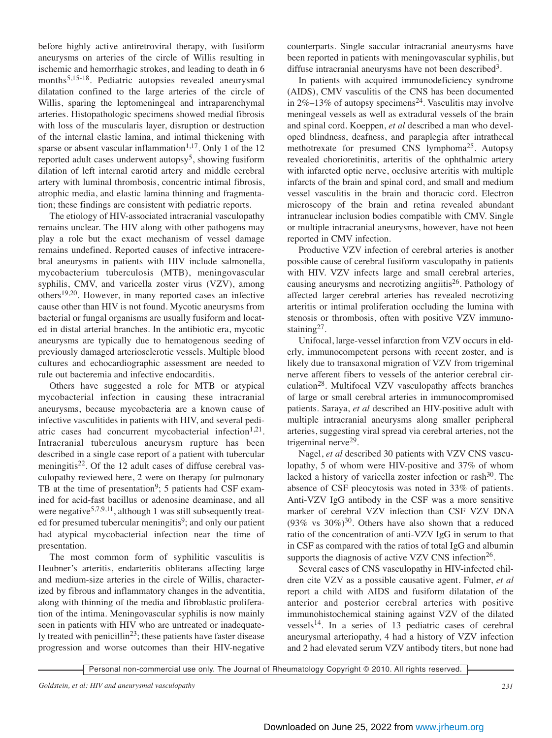before highly active antiretroviral therapy, with fusiform aneurysms on arteries of the circle of Willis resulting in ischemic and hemorrhagic strokes, and leading to death in 6 months<sup>5,15-18</sup>. Pediatric autopsies revealed aneurysmal dilatation confined to the large arteries of the circle of Willis, sparing the leptomeningeal and intraparenchymal arteries. Histopathologic specimens showed medial fibrosis with loss of the muscularis layer, disruption or destruction of the internal elastic lamina, and intimal thickening with sparse or absent vascular inflammation<sup>1,17</sup>. Only 1 of the 12 reported adult cases underwent autopsy<sup>5</sup>, showing fusiform dilation of left internal carotid artery and middle cerebral artery with luminal thrombosis, concentric intimal fibrosis, atrophic media, and elastic lamina thinning and fragmentation; these findings are consistent with pediatric reports.

The etiology of HIV-associated intracranial vasculopathy remains unclear. The HIV along with other pathogens may play a role but the exact mechanism of vessel damage remains undefined. Reported causes of infective intracerebral aneurysms in patients with HIV include salmonella, mycobacterium tuberculosis (MTB), meningovascular syphilis, CMV, and varicella zoster virus (VZV), among others19,20. However, in many reported cases an infective cause other than HIV is not found. Mycotic aneurysms from bacterial or fungal organisms are usually fusiform and located in distal arterial branches. In the antibiotic era, mycotic aneurysms are typically due to hematogenous seeding of previously damaged arteriosclerotic vessels. Multiple blood cultures and echocardiographic assessment are needed to rule out bacteremia and infective endocarditis.

Others have suggested a role for MTB or atypical mycobacterial infection in causing these intracranial aneurysms, because mycobacteria are a known cause of infective vasculitides in patients with HIV, and several pediatric cases had concurrent mycobacterial infection<sup>1,21</sup>. Intracranial tuberculous aneurysm rupture has been described in a single case report of a patient with tubercular meningitis<sup>22</sup>. Of the 12 adult cases of diffuse cerebral vasculopathy reviewed here, 2 were on therapy for pulmonary TB at the time of presentation<sup>9</sup>; 5 patients had CSF examined for acid-fast bacillus or adenosine deaminase, and all were negative<sup>5,7,9,11</sup>, although 1 was still subsequently treated for presumed tubercular meningitis<sup>9</sup>; and only our patient had atypical mycobacterial infection near the time of presentation.

The most common form of syphilitic vasculitis is Heubner's arteritis, endarteritis obliterans affecting large and medium-size arteries in the circle of Willis, characterized by fibrous and inflammatory changes in the adventitia, along with thinning of the media and fibroblastic proliferation of the intima. Meningovascular syphilis is now mainly seen in patients with HIV who are untreated or inadequately treated with penicillin<sup>23</sup>; these patients have faster disease progression and worse outcomes than their HIV-negative

counterparts. Single saccular intracranial aneurysms have been reported in patients with meningovascular syphilis, but diffuse intracranial aneurysms have not been described<sup>3</sup>.

In patients with acquired immunodeficiency syndrome (AIDS), CMV vasculitis of the CNS has been documented in  $2\%$ –13% of autopsy specimens<sup>24</sup>. Vasculitis may involve meningeal vessels as well as extradural vessels of the brain and spinal cord. Koeppen, *et al* described a man who developed blindness, deafness, and paraplegia after intrathecal methotrexate for presumed CNS lymphoma<sup>25</sup>. Autopsy revealed chorioretinitis, arteritis of the ophthalmic artery with infarcted optic nerve, occlusive arteritis with multiple infarcts of the brain and spinal cord, and small and medium vessel vasculitis in the brain and thoracic cord. Electron microscopy of the brain and retina revealed abundant intranuclear inclusion bodies compatible with CMV. Single or multiple intracranial aneurysms, however, have not been reported in CMV infection.

Productive VZV infection of cerebral arteries is another possible cause of cerebral fusiform vasculopathy in patients with HIV. VZV infects large and small cerebral arteries, causing aneurysms and necrotizing angiitis<sup>26</sup>. Pathology of affected larger cerebral arteries has revealed necrotizing arteritis or intimal proliferation occluding the lumina with stenosis or thrombosis, often with positive VZV immunostaining $27$ .

Unifocal, large-vessel infarction from VZV occurs in elderly, immunocompetent persons with recent zoster, and is likely due to transaxonal migration of VZV from trigeminal nerve afferent fibers to vessels of the anterior cerebral circulation28. Multifocal VZV vasculopathy affects branches of large or small cerebral arteries in immunocompromised patients. Saraya, *et al* described an HIV-positive adult with multiple intracranial aneurysms along smaller peripheral arteries, suggesting viral spread via cerebral arteries, not the trigeminal nerve<sup>29</sup>.

Nagel, *et al* described 30 patients with VZV CNS vasculopathy, 5 of whom were HIV-positive and 37% of whom lacked a history of varicella zoster infection or  $\text{rash}^{30}$ . The absence of CSF pleocytosis was noted in 33% of patients. Anti-VZV IgG antibody in the CSF was a more sensitive marker of cerebral VZV infection than CSF VZV DNA  $(93\% \text{ vs } 30\%)^{30}$ . Others have also shown that a reduced ratio of the concentration of anti-VZV IgG in serum to that in CSF as compared with the ratios of total IgG and albumin supports the diagnosis of active VZV CNS infection<sup>26</sup>.

Several cases of CNS vasculopathy in HIV-infected children cite VZV as a possible causative agent. Fulmer, *et al* report a child with AIDS and fusiform dilatation of the anterior and posterior cerebral arteries with positive immunohistochemical staining against VZV of the dilated  $vessels<sup>14</sup>$ . In a series of 13 pediatric cases of cerebral aneurysmal arteriopathy, 4 had a history of VZV infection and 2 had elevated serum VZV antibody titers, but none had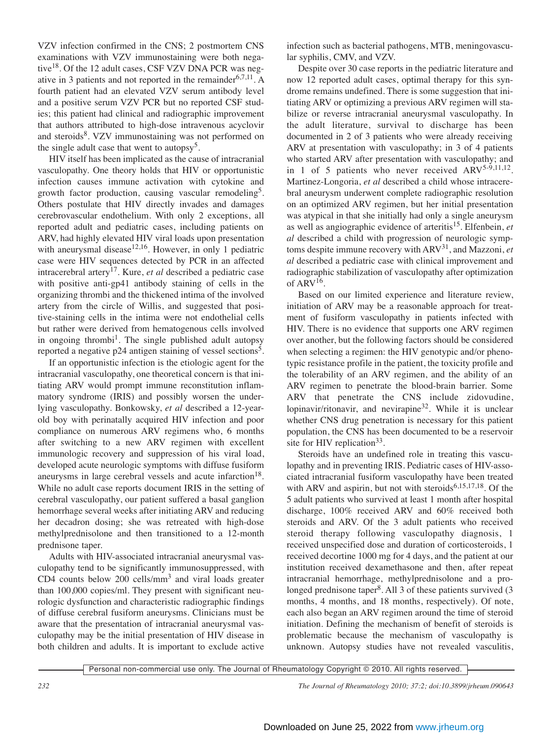VZV infection confirmed in the CNS; 2 postmortem CNS examinations with VZV immunostaining were both negative<sup>18</sup>. Of the 12 adult cases, CSF VZV DNA PCR was negative in 3 patients and not reported in the remainder $6,7,11$ . A fourth patient had an elevated VZV serum antibody level and a positive serum VZV PCR but no reported CSF studies; this patient had clinical and radiographic improvement that authors attributed to high-dose intravenous acyclovir and steroids<sup>8</sup>. VZV immunostaining was not performed on the single adult case that went to autopsy<sup>5</sup>.

HIV itself has been implicated as the cause of intracranial vasculopathy. One theory holds that HIV or opportunistic infection causes immune activation with cytokine and growth factor production, causing vascular remodeling<sup>5</sup>. Others postulate that HIV directly invades and damages cerebrovascular endothelium. With only 2 exceptions, all reported adult and pediatric cases, including patients on ARV, had highly elevated HIV viral loads upon presentation with aneurysmal disease<sup>12,16</sup>. However, in only 1 pediatric case were HIV sequences detected by PCR in an affected intracerebral artery<sup>17</sup>. Kure, *et al* described a pediatric case with positive anti-gp41 antibody staining of cells in the organizing thrombi and the thickened intima of the involved artery from the circle of Willis, and suggested that positive-staining cells in the intima were not endothelial cells but rather were derived from hematogenous cells involved in ongoing thrombi<sup>1</sup>. The single published adult autopsy reported a negative p24 antigen staining of vessel sections<sup>5</sup>.

If an opportunistic infection is the etiologic agent for the intracranial vasculopathy, one theoretical concern is that initiating ARV would prompt immune reconstitution inflammatory syndrome (IRIS) and possibly worsen the underlying vasculopathy. Bonkowsky, *et al* described a 12-yearold boy with perinatally acquired HIV infection and poor compliance on numerous ARV regimens who, 6 months after switching to a new ARV regimen with excellent immunologic recovery and suppression of his viral load, developed acute neurologic symptoms with diffuse fusiform aneurysms in large cerebral vessels and acute infarction<sup>18</sup>. While no adult case reports document IRIS in the setting of cerebral vasculopathy, our patient suffered a basal ganglion hemorrhage several weeks after initiating ARV and reducing her decadron dosing; she was retreated with high-dose methylprednisolone and then transitioned to a 12-month prednisone taper.

Adults with HIV-associated intracranial aneurysmal vasculopathy tend to be significantly immunosuppressed, with CD4 counts below 200 cells/mm3 and viral loads greater than 100,000 copies/ml. They present with significant neurologic dysfunction and characteristic radiographic findings of diffuse cerebral fusiform aneurysms. Clinicians must be aware that the presentation of intracranial aneurysmal vasculopathy may be the initial presentation of HIV disease in both children and adults. It is important to exclude active

infection such as bacterial pathogens, MTB, meningovascular syphilis, CMV, and VZV.

Despite over 30 case reports in the pediatric literature and now 12 reported adult cases, optimal therapy for this syndrome remains undefined. There is some suggestion that initiating ARV or optimizing a previous ARV regimen will stabilize or reverse intracranial aneurysmal vasculopathy. In the adult literature, survival to discharge has been documented in 2 of 3 patients who were already receiving ARV at presentation with vasculopathy; in 3 of 4 patients who started ARV after presentation with vasculopathy; and in 1 of 5 patients who never received  $ARV^{5-9,11,12}$ . Martinez-Longoria, *et al* described a child whose intracerebral aneurysm underwent complete radiographic resolution on an optimized ARV regimen, but her initial presentation was atypical in that she initially had only a single aneurysm as well as angiographic evidence of arteritis15. Elfenbein, *et al* described a child with progression of neurologic symptoms despite immune recovery with ARV31, and Mazzoni, *et al* described a pediatric case with clinical improvement and radiographic stabilization of vasculopathy after optimization of  $ARV^{16}$ .

Based on our limited experience and literature review, initiation of ARV may be a reasonable approach for treatment of fusiform vasculopathy in patients infected with HIV. There is no evidence that supports one ARV regimen over another, but the following factors should be considered when selecting a regimen: the HIV genotypic and/or phenotypic resistance profile in the patient, the toxicity profile and the tolerability of an ARV regimen, and the ability of an ARV regimen to penetrate the blood-brain barrier. Some ARV that penetrate the CNS include zidovudine, lopinavir/ritonavir, and nevirapine<sup>32</sup>. While it is unclear whether CNS drug penetration is necessary for this patient population, the CNS has been documented to be a reservoir site for HIV replication<sup>33</sup>.

Steroids have an undefined role in treating this vasculopathy and in preventing IRIS. Pediatric cases of HIV-associated intracranial fusiform vasculopathy have been treated with ARV and aspirin, but not with steroids<sup>6,15,17,18</sup>. Of the 5 adult patients who survived at least 1 month after hospital discharge, 100% received ARV and 60% received both steroids and ARV. Of the 3 adult patients who received steroid therapy following vasculopathy diagnosis, 1 received unspecified dose and duration of corticosteroids, 1 received decortine 1000 mg for 4 days, and the patient at our institution received dexamethasone and then, after repeat intracranial hemorrhage, methylprednisolone and a prolonged prednisone taper<sup>8</sup>. All 3 of these patients survived (3) months, 4 months, and 18 months, respectively). Of note, each also began an ARV regimen around the time of steroid initiation. Defining the mechanism of benefit of steroids is problematic because the mechanism of vasculopathy is unknown. Autopsy studies have not revealed vasculitis,

Personal non-commercial use only. The Journal of Rheumatology Copyright © 2010. All rights reserved.

*232 The Journal of Rheumatology 2010; 37:2; doi:10.3899/jrheum.090643*